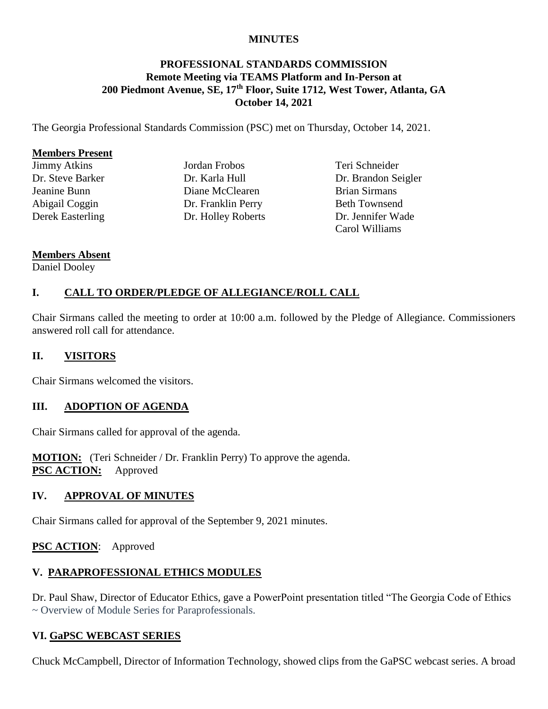#### **MINUTES**

### **PROFESSIONAL STANDARDS COMMISSION Remote Meeting via TEAMS Platform and In-Person at 200 Piedmont Avenue, SE, 17th Floor, Suite 1712, West Tower, Atlanta, GA October 14, 2021**

The Georgia Professional Standards Commission (PSC) met on Thursday, October 14, 2021.

#### **Members Present**

Jimmy Atkins Dr. Steve Barker Jeanine Bunn Abigail Coggin Derek Easterling Jordan Frobos Dr. Karla Hull Diane McClearen Dr. Franklin Perry Dr. Holley Roberts

Teri Schneider Dr. Brandon Seigler Brian Sirmans Beth Townsend Dr. Jennifer Wade Carol Williams

#### **Members Absent**

#### Daniel Dooley

## **I. CALL TO ORDER/PLEDGE OF ALLEGIANCE/ROLL CALL**

Chair Sirmans called the meeting to order at 10:00 a.m. followed by the Pledge of Allegiance. Commissioners answered roll call for attendance.

### **II. VISITORS**

Chair Sirmans welcomed the visitors.

### **III. ADOPTION OF AGENDA**

Chair Sirmans called for approval of the agenda.

**MOTION:** (Teri Schneider / Dr. Franklin Perry) To approve the agenda. **PSC ACTION:** Approved

### **IV. APPROVAL OF MINUTES**

Chair Sirmans called for approval of the September 9, 2021 minutes.

### **PSC ACTION**: Approved

### **V. PARAPROFESSIONAL ETHICS MODULES**

Dr. Paul Shaw, Director of Educator Ethics, gave a PowerPoint presentation titled "The Georgia Code of Ethics ~ Overview of Module Series for Paraprofessionals.

### **VI. GaPSC WEBCAST SERIES**

Chuck McCampbell, Director of Information Technology, showed clips from the GaPSC webcast series. A broad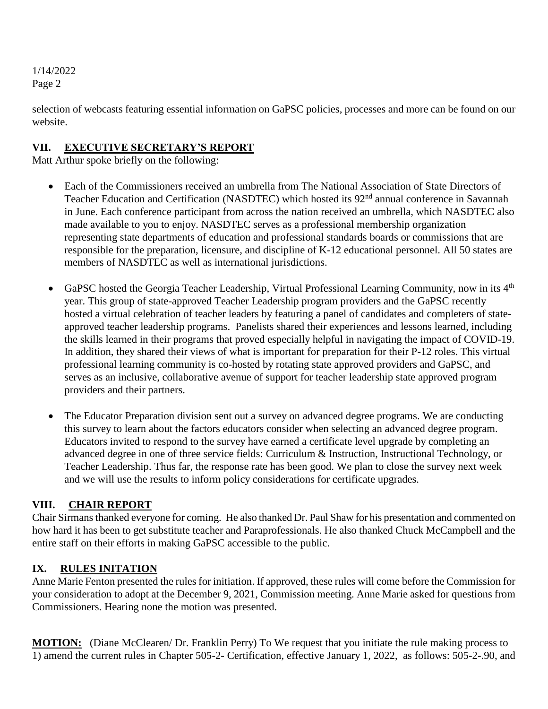selection of webcasts featuring essential information on GaPSC policies, processes and more can be found on our website.

## **VII. EXECUTIVE SECRETARY'S REPORT**

Matt Arthur spoke briefly on the following:

- Each of the Commissioners received an umbrella from The National Association of State Directors of Teacher Education and Certification (NASDTEC) which hosted its 92<sup>nd</sup> annual conference in Savannah in June. Each conference participant from across the nation received an umbrella, which NASDTEC also made available to you to enjoy. NASDTEC serves as a professional membership organization representing state departments of education and professional standards boards or commissions that are responsible for the preparation, licensure, and discipline of K-12 educational personnel. All 50 states are members of NASDTEC as well as international jurisdictions.
- GaPSC hosted the Georgia Teacher Leadership, Virtual Professional Learning Community, now in its  $4<sup>th</sup>$ year. This group of state-approved Teacher Leadership program providers and the GaPSC recently hosted a virtual celebration of teacher leaders by featuring a panel of candidates and completers of stateapproved teacher leadership programs. Panelists shared their experiences and lessons learned, including the skills learned in their programs that proved especially helpful in navigating the impact of COVID-19. In addition, they shared their views of what is important for preparation for their P-12 roles. This virtual professional learning community is co-hosted by rotating state approved providers and GaPSC, and serves as an inclusive, collaborative avenue of support for teacher leadership state approved program providers and their partners.
- The Educator Preparation division sent out a survey on advanced degree programs. We are conducting this survey to learn about the factors educators consider when selecting an advanced degree program. Educators invited to respond to the survey have earned a certificate level upgrade by completing an advanced degree in one of three service fields: Curriculum & Instruction, Instructional Technology, or Teacher Leadership. Thus far, the response rate has been good. We plan to close the survey next week and we will use the results to inform policy considerations for certificate upgrades.

# **VIII. CHAIR REPORT**

Chair Sirmans thanked everyone for coming. He also thanked Dr. Paul Shaw for his presentation and commented on how hard it has been to get substitute teacher and Paraprofessionals. He also thanked Chuck McCampbell and the entire staff on their efforts in making GaPSC accessible to the public.

# **IX. RULES INITATION**

Anne Marie Fenton presented the rules for initiation. If approved, these rules will come before the Commission for your consideration to adopt at the December 9, 2021, Commission meeting. Anne Marie asked for questions from Commissioners. Hearing none the motion was presented.

**MOTION:** (Diane McClearen/ Dr. Franklin Perry) To We request that you initiate the rule making process to 1) amend the current rules in Chapter 505-2- Certification, effective January 1, 2022, as follows: 505-2-.90, and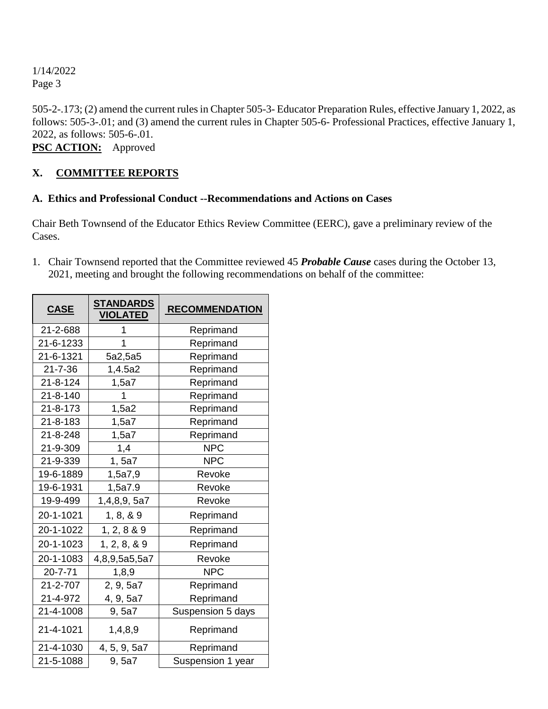505-2-.173; (2) amend the current rules in Chapter 505-3- Educator Preparation Rules, effective January 1, 2022, as follows: 505-3-.01; and (3) amend the current rules in Chapter 505-6- Professional Practices, effective January 1, 2022, as follows: 505-6-.01.

**PSC ACTION:** Approved

# **X. COMMITTEE REPORTS**

### **A. Ethics and Professional Conduct --Recommendations and Actions on Cases**

Chair Beth Townsend of the Educator Ethics Review Committee (EERC), gave a preliminary review of the Cases.

1. Chair Townsend reported that the Committee reviewed 45 *Probable Cause* cases during the October 13, 2021, meeting and brought the following recommendations on behalf of the committee:

| <b>CASE</b>    | <b>STANDARDS</b><br><b>VIOLATED</b> | <b>RECOMMENDATION</b> |
|----------------|-------------------------------------|-----------------------|
| 21-2-688       | 1                                   | Reprimand             |
| 21-6-1233      | 1                                   | Reprimand             |
| 21-6-1321      | 5a2,5a5                             | Reprimand             |
| $21 - 7 - 36$  | 1,4.5a2                             | Reprimand             |
| $21 - 8 - 124$ | 1,5a7                               | Reprimand             |
| $21 - 8 - 140$ | 1                                   | Reprimand             |
| 21-8-173       | 1,5a2                               | Reprimand             |
| $21 - 8 - 183$ | 1,5a7                               | Reprimand             |
| 21-8-248       | 1,5a7                               | Reprimand             |
| 21-9-309       | 1,4                                 | <b>NPC</b>            |
| 21-9-339       | 1, 5a7                              | <b>NPC</b>            |
| 19-6-1889      | 1,5a7,9                             | Revoke                |
| 19-6-1931      | 1,5a7.9                             | Revoke                |
| 19-9-499       | 1,4,8,9, 5a7                        | Revoke                |
| 20-1-1021      | 1, 8, 8, 9                          | Reprimand             |
| 20-1-1022      | 1, 2, 8 & 9                         | Reprimand             |
| 20-1-1023      | 1, 2, 8, 8, 9                       | Reprimand             |
| 20-1-1083      | 4,8,9,5a5,5a7                       | Revoke                |
| $20 - 7 - 71$  | 1,8,9                               | <b>NPC</b>            |
| 21-2-707       | 2, 9, 5a7                           | Reprimand             |
| 21-4-972       | 4, 9, 5a7                           | Reprimand             |
| 21-4-1008      | 9, 5a7                              | Suspension 5 days     |
| 21-4-1021      | 1,4,8,9                             | Reprimand             |
| 21-4-1030      | 4, 5, 9, 5a7                        | Reprimand             |
| 21-5-1088      | 9, 5a7                              | Suspension 1 year     |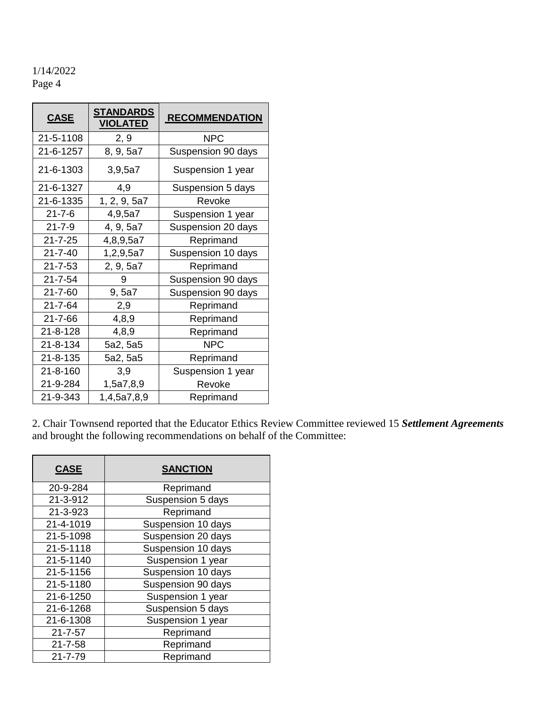| <b>CASE</b>    | <b>STANDARDS</b><br><b>VIOLATED</b> | <b>RECOMMENDATION</b> |
|----------------|-------------------------------------|-----------------------|
| 21-5-1108      | 2, 9                                | <b>NPC</b>            |
| 21-6-1257      | 8, 9, 5a7                           | Suspension 90 days    |
| 21-6-1303      | 3,9,5a7                             | Suspension 1 year     |
| 21-6-1327      | 4,9                                 | Suspension 5 days     |
| 21-6-1335      | 1, 2, 9, 5a7                        | Revoke                |
| $21 - 7 - 6$   | 4,9,5a7                             | Suspension 1 year     |
| $21 - 7 - 9$   | 4, 9, 5a7                           | Suspension 20 days    |
| $21 - 7 - 25$  | 4,8,9,5a7                           | Reprimand             |
| $21 - 7 - 40$  | 1,2,9,5a7                           | Suspension 10 days    |
| $21 - 7 - 53$  | 2, 9, 5a7                           | Reprimand             |
| $21 - 7 - 54$  | 9                                   | Suspension 90 days    |
| 21-7-60        | 9, 5a7                              | Suspension 90 days    |
| 21-7-64        | 2,9                                 | Reprimand             |
| $21 - 7 - 66$  | 4,8,9                               | Reprimand             |
| $21 - 8 - 128$ | 4,8,9                               | Reprimand             |
| 21-8-134       | 5a2, 5a5                            | <b>NPC</b>            |
| 21-8-135       | 5a2, 5a5                            | Reprimand             |
| $21 - 8 - 160$ | 3,9                                 | Suspension 1 year     |
| 21-9-284       | 1,5a7,8,9                           | Revoke                |
| 21-9-343       | 1,4,5a7,8,9                         | Reprimand             |

2. Chair Townsend reported that the Educator Ethics Review Committee reviewed 15 *Settlement Agreements* and brought the following recommendations on behalf of the Committee:

| <b>CASE</b>   | <b>SANCTION</b>    |
|---------------|--------------------|
| 20-9-284      | Reprimand          |
| 21-3-912      | Suspension 5 days  |
| 21-3-923      | Reprimand          |
| 21-4-1019     | Suspension 10 days |
| 21-5-1098     | Suspension 20 days |
| 21-5-1118     | Suspension 10 days |
| 21-5-1140     | Suspension 1 year  |
| 21-5-1156     | Suspension 10 days |
| 21-5-1180     | Suspension 90 days |
| 21-6-1250     | Suspension 1 year  |
| 21-6-1268     | Suspension 5 days  |
| 21-6-1308     | Suspension 1 year  |
| $21 - 7 - 57$ | Reprimand          |
| $21 - 7 - 58$ | Reprimand          |
| $21 - 7 - 79$ | Reprimand          |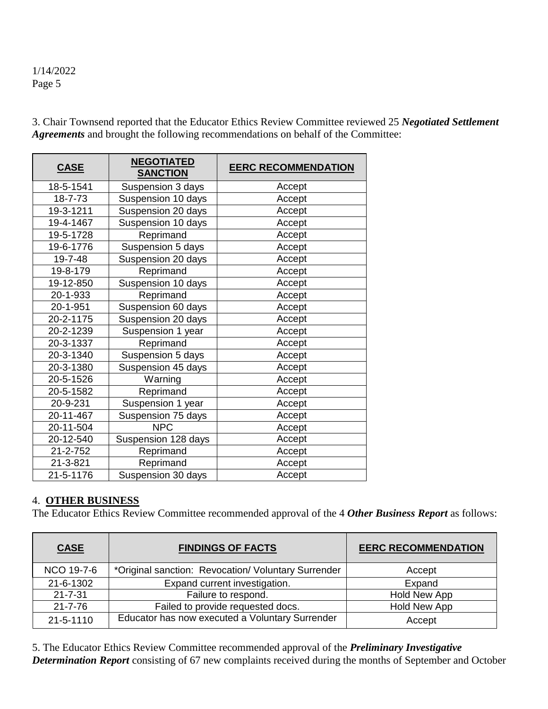3. Chair Townsend reported that the Educator Ethics Review Committee reviewed 25 *Negotiated Settlement Agreements* and brought the following recommendations on behalf of the Committee:

| <b>CASE</b> | <b>NEGOTIATED</b><br><b>SANCTION</b> | <b>EERC RECOMMENDATION</b> |
|-------------|--------------------------------------|----------------------------|
| 18-5-1541   | Suspension 3 days                    | Accept                     |
| 18-7-73     | Suspension 10 days                   | Accept                     |
| 19-3-1211   | Suspension 20 days                   | Accept                     |
| 19-4-1467   | Suspension 10 days                   | Accept                     |
| 19-5-1728   | Reprimand                            | Accept                     |
| 19-6-1776   | Suspension 5 days                    | Accept                     |
| 19-7-48     | Suspension 20 days                   | Accept                     |
| 19-8-179    | Reprimand                            | Accept                     |
| 19-12-850   | Suspension 10 days                   | Accept                     |
| 20-1-933    | Reprimand                            | Accept                     |
| 20-1-951    | Suspension 60 days                   | Accept                     |
| 20-2-1175   | Suspension 20 days                   | Accept                     |
| 20-2-1239   | Suspension 1 year                    | Accept                     |
| 20-3-1337   | Reprimand                            | Accept                     |
| 20-3-1340   | Suspension 5 days                    | Accept                     |
| 20-3-1380   | Suspension 45 days                   | Accept                     |
| 20-5-1526   | Warning                              | Accept                     |
| 20-5-1582   | Reprimand                            | Accept                     |
| 20-9-231    | Suspension 1 year                    | Accept                     |
| 20-11-467   | Suspension 75 days                   | Accept                     |
| 20-11-504   | <b>NPC</b>                           | Accept                     |
| 20-12-540   | Suspension 128 days                  | Accept                     |
| 21-2-752    | Reprimand                            | Accept                     |
| 21-3-821    | Reprimand                            | Accept                     |
| 21-5-1176   | Suspension 30 days                   | Accept                     |

### 4. **OTHER BUSINESS**

The Educator Ethics Review Committee recommended approval of the 4 *Other Business Report* as follows:

| <b>CASE</b>   | <b>FINDINGS OF FACTS</b>                            | <b>EERC RECOMMENDATION</b> |
|---------------|-----------------------------------------------------|----------------------------|
| NCO 19-7-6    | *Original sanction: Revocation/ Voluntary Surrender | Accept                     |
| 21-6-1302     | Expand current investigation.                       | Expand                     |
| $21 - 7 - 31$ | Failure to respond.                                 | Hold New App               |
| $21 - 7 - 76$ | Failed to provide requested docs.                   | Hold New App               |
| 21-5-1110     | Educator has now executed a Voluntary Surrender     | Accept                     |

5. The Educator Ethics Review Committee recommended approval of the *Preliminary Investigative Determination Report* consisting of 67 new complaints received during the months of September and October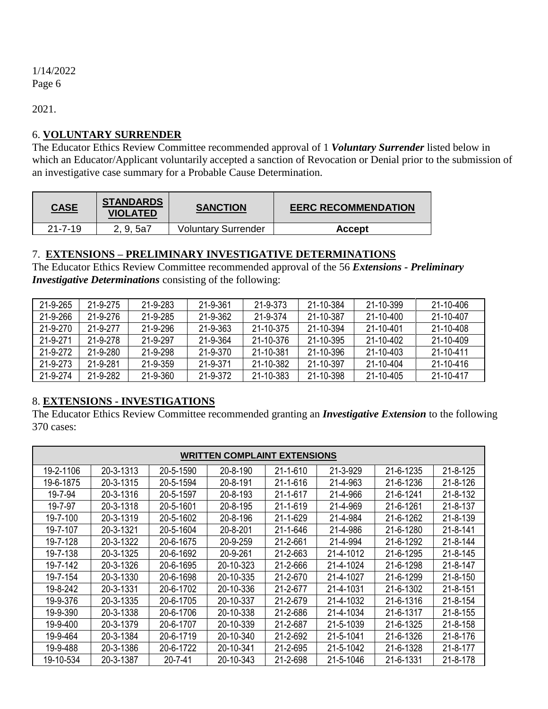2021.

## 6. **VOLUNTARY SURRENDER**

The Educator Ethics Review Committee recommended approval of 1 *Voluntary Surrender* listed below in which an Educator/Applicant voluntarily accepted a sanction of Revocation or Denial prior to the submission of an investigative case summary for a Probable Cause Determination.

| <b>CASE</b>   | <b>STANDARDS</b><br><b>VIOLATED</b> | <b>SANCTION</b>            | <b>EERC RECOMMENDATION</b> |
|---------------|-------------------------------------|----------------------------|----------------------------|
| $21 - 7 - 19$ | 2, 9, 5a7                           | <b>Voluntary Surrender</b> | Accept                     |

### 7. **EXTENSIONS – PRELIMINARY INVESTIGATIVE DETERMINATIONS**

The Educator Ethics Review Committee recommended approval of the 56 *Extensions - Preliminary Investigative Determinations* consisting of the following:

| 21-9-265       | 21-9-275       | 21-9-283       | 21-9-361 | 21-9-373  | 21-10-384 | 21-10-399 | $21 - 10 - 406$ |
|----------------|----------------|----------------|----------|-----------|-----------|-----------|-----------------|
| 21-9-266       | $21 - 9 - 276$ | 21-9-285       | 21-9-362 | 21-9-374  | 21-10-387 | 21-10-400 | 21-10-407       |
| $21 - 9 - 270$ | 21-9-277       | $21 - 9 - 296$ | 21-9-363 | 21-10-375 | 21-10-394 | 21-10-401 | 21-10-408       |
| 21-9-271       | 21-9-278       | 21-9-297       | 21-9-364 | 21-10-376 | 21-10-395 | 21-10-402 | $21 - 10 - 409$ |
| 21-9-272       | $21 - 9 - 280$ | 21-9-298       | 21-9-370 | 21-10-381 | 21-10-396 | 21-10-403 | 21-10-411       |
| 21-9-273       | 21-9-281       | $21 - 9 - 359$ | 21-9-371 | 21-10-382 | 21-10-397 | 21-10-404 | 21-10-416       |
| 21-9-274       | 21-9-282       | 21-9-360       | 21-9-372 | 21-10-383 | 21-10-398 | 21-10-405 | 21-10-417       |

# 8. **EXTENSIONS - INVESTIGATIONS**

The Educator Ethics Review Committee recommended granting an *Investigative Extension* to the following 370 cases:

|           | <b>WRITTEN COMPLAINT EXTENSIONS</b> |           |           |                |           |           |                |
|-----------|-------------------------------------|-----------|-----------|----------------|-----------|-----------|----------------|
| 19-2-1106 | 20-3-1313                           | 20-5-1590 | 20-8-190  | $21 - 1 - 610$ | 21-3-929  | 21-6-1235 | 21-8-125       |
| 19-6-1875 | 20-3-1315                           | 20-5-1594 | 20-8-191  | 21-1-616       | 21-4-963  | 21-6-1236 | 21-8-126       |
| 19-7-94   | 20-3-1316                           | 20-5-1597 | 20-8-193  | 21-1-617       | 21-4-966  | 21-6-1241 | 21-8-132       |
| 19-7-97   | 20-3-1318                           | 20-5-1601 | 20-8-195  | $21 - 1 - 619$ | 21-4-969  | 21-6-1261 | 21-8-137       |
| 19-7-100  | 20-3-1319                           | 20-5-1602 | 20-8-196  | 21-1-629       | 21-4-984  | 21-6-1262 | 21-8-139       |
| 19-7-107  | 20-3-1321                           | 20-5-1604 | 20-8-201  | 21-1-646       | 21-4-986  | 21-6-1280 | $21 - 8 - 141$ |
| 19-7-128  | 20-3-1322                           | 20-6-1675 | 20-9-259  | 21-2-661       | 21-4-994  | 21-6-1292 | 21-8-144       |
| 19-7-138  | 20-3-1325                           | 20-6-1692 | 20-9-261  | 21-2-663       | 21-4-1012 | 21-6-1295 | $21 - 8 - 145$ |
| 19-7-142  | 20-3-1326                           | 20-6-1695 | 20-10-323 | 21-2-666       | 21-4-1024 | 21-6-1298 | 21-8-147       |
| 19-7-154  | 20-3-1330                           | 20-6-1698 | 20-10-335 | 21-2-670       | 21-4-1027 | 21-6-1299 | 21-8-150       |
| 19-8-242  | 20-3-1331                           | 20-6-1702 | 20-10-336 | 21-2-677       | 21-4-1031 | 21-6-1302 | $21 - 8 - 151$ |
| 19-9-376  | 20-3-1335                           | 20-6-1705 | 20-10-337 | 21-2-679       | 21-4-1032 | 21-6-1316 | $21 - 8 - 154$ |
| 19-9-390  | 20-3-1338                           | 20-6-1706 | 20-10-338 | 21-2-686       | 21-4-1034 | 21-6-1317 | $21 - 8 - 155$ |
| 19-9-400  | 20-3-1379                           | 20-6-1707 | 20-10-339 | 21-2-687       | 21-5-1039 | 21-6-1325 | $21 - 8 - 158$ |
| 19-9-464  | 20-3-1384                           | 20-6-1719 | 20-10-340 | 21-2-692       | 21-5-1041 | 21-6-1326 | 21-8-176       |
| 19-9-488  | 20-3-1386                           | 20-6-1722 | 20-10-341 | 21-2-695       | 21-5-1042 | 21-6-1328 | 21-8-177       |
| 19-10-534 | 20-3-1387                           | 20-7-41   | 20-10-343 | 21-2-698       | 21-5-1046 | 21-6-1331 | 21-8-178       |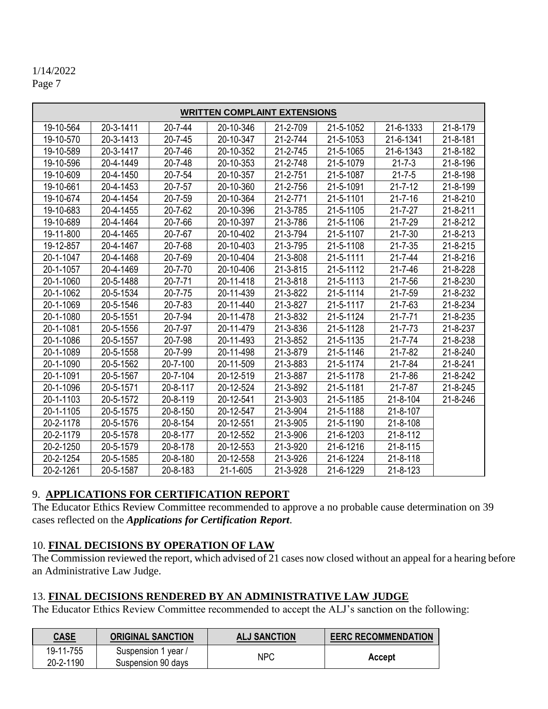|           | <b>WRITTEN COMPLAINT EXTENSIONS</b> |               |                |          |           |                |          |
|-----------|-------------------------------------|---------------|----------------|----------|-----------|----------------|----------|
| 19-10-564 | 20-3-1411                           | $20 - 7 - 44$ | 20-10-346      | 21-2-709 | 21-5-1052 | 21-6-1333      | 21-8-179 |
| 19-10-570 | 20-3-1413                           | $20 - 7 - 45$ | 20-10-347      | 21-2-744 | 21-5-1053 | 21-6-1341      | 21-8-181 |
| 19-10-589 | 20-3-1417                           | 20-7-46       | 20-10-352      | 21-2-745 | 21-5-1065 | 21-6-1343      | 21-8-182 |
| 19-10-596 | 20-4-1449                           | 20-7-48       | 20-10-353      | 21-2-748 | 21-5-1079 | $21 - 7 - 3$   | 21-8-196 |
| 19-10-609 | 20-4-1450                           | $20 - 7 - 54$ | 20-10-357      | 21-2-751 | 21-5-1087 | $21 - 7 - 5$   | 21-8-198 |
| 19-10-661 | 20-4-1453                           | $20 - 7 - 57$ | 20-10-360      | 21-2-756 | 21-5-1091 | $21 - 7 - 12$  | 21-8-199 |
| 19-10-674 | 20-4-1454                           | 20-7-59       | 20-10-364      | 21-2-771 | 21-5-1101 | $21 - 7 - 16$  | 21-8-210 |
| 19-10-683 | 20-4-1455                           | 20-7-62       | 20-10-396      | 21-3-785 | 21-5-1105 | $21 - 7 - 27$  | 21-8-211 |
| 19-10-689 | 20-4-1464                           | 20-7-66       | 20-10-397      | 21-3-786 | 21-5-1106 | $21 - 7 - 29$  | 21-8-212 |
| 19-11-800 | 20-4-1465                           | 20-7-67       | 20-10-402      | 21-3-794 | 21-5-1107 | $21 - 7 - 30$  | 21-8-213 |
| 19-12-857 | 20-4-1467                           | 20-7-68       | 20-10-403      | 21-3-795 | 21-5-1108 | $21 - 7 - 35$  | 21-8-215 |
| 20-1-1047 | 20-4-1468                           | 20-7-69       | 20-10-404      | 21-3-808 | 21-5-1111 | $21 - 7 - 44$  | 21-8-216 |
| 20-1-1057 | 20-4-1469                           | $20 - 7 - 70$ | 20-10-406      | 21-3-815 | 21-5-1112 | $21 - 7 - 46$  | 21-8-228 |
| 20-1-1060 | 20-5-1488                           | $20 - 7 - 71$ | 20-11-418      | 21-3-818 | 21-5-1113 | $21 - 7 - 56$  | 21-8-230 |
| 20-1-1062 | 20-5-1534                           | $20 - 7 - 75$ | 20-11-439      | 21-3-822 | 21-5-1114 | $21 - 7 - 59$  | 21-8-232 |
| 20-1-1069 | 20-5-1546                           | $20 - 7 - 83$ | 20-11-440      | 21-3-827 | 21-5-1117 | $21 - 7 - 63$  | 21-8-234 |
| 20-1-1080 | 20-5-1551                           | 20-7-94       | 20-11-478      | 21-3-832 | 21-5-1124 | $21 - 7 - 71$  | 21-8-235 |
| 20-1-1081 | 20-5-1556                           | 20-7-97       | 20-11-479      | 21-3-836 | 21-5-1128 | $21 - 7 - 73$  | 21-8-237 |
| 20-1-1086 | 20-5-1557                           | 20-7-98       | 20-11-493      | 21-3-852 | 21-5-1135 | $21 - 7 - 74$  | 21-8-238 |
| 20-1-1089 | 20-5-1558                           | 20-7-99       | 20-11-498      | 21-3-879 | 21-5-1146 | $21 - 7 - 82$  | 21-8-240 |
| 20-1-1090 | 20-5-1562                           | 20-7-100      | 20-11-509      | 21-3-883 | 21-5-1174 | $21 - 7 - 84$  | 21-8-241 |
| 20-1-1091 | 20-5-1567                           | 20-7-104      | 20-12-519      | 21-3-887 | 21-5-1178 | $21 - 7 - 86$  | 21-8-242 |
| 20-1-1096 | 20-5-1571                           | 20-8-117      | 20-12-524      | 21-3-892 | 21-5-1181 | $21 - 7 - 87$  | 21-8-245 |
| 20-1-1103 | 20-5-1572                           | 20-8-119      | 20-12-541      | 21-3-903 | 21-5-1185 | $21 - 8 - 104$ | 21-8-246 |
| 20-1-1105 | 20-5-1575                           | 20-8-150      | 20-12-547      | 21-3-904 | 21-5-1188 | 21-8-107       |          |
| 20-2-1178 | 20-5-1576                           | 20-8-154      | 20-12-551      | 21-3-905 | 21-5-1190 | 21-8-108       |          |
| 20-2-1179 | 20-5-1578                           | 20-8-177      | 20-12-552      | 21-3-906 | 21-6-1203 | 21-8-112       |          |
| 20-2-1250 | 20-5-1579                           | 20-8-178      | 20-12-553      | 21-3-920 | 21-6-1216 | 21-8-115       |          |
| 20-2-1254 | 20-5-1585                           | 20-8-180      | 20-12-558      | 21-3-926 | 21-6-1224 | $21 - 8 - 118$ |          |
| 20-2-1261 | 20-5-1587                           | 20-8-183      | $21 - 1 - 605$ | 21-3-928 | 21-6-1229 | $21 - 8 - 123$ |          |

## 9. **APPLICATIONS FOR CERTIFICATION REPORT**

The Educator Ethics Review Committee recommended to approve a no probable cause determination on 39 cases reflected on the *Applications for Certification Report*.

### 10. **FINAL DECISIONS BY OPERATION OF LAW**

The Commission reviewed the report, which advised of 21 cases now closed without an appeal for a hearing before an Administrative Law Judge.

### 13. **FINAL DECISIONS RENDERED BY AN ADMINISTRATIVE LAW JUDGE**

The Educator Ethics Review Committee recommended to accept the ALJ's sanction on the following:

| <b>CASE</b> | <b>ORIGINAL SANCTION</b> | <b>ALJ SANCTION</b> | <b>EERC RECOMMENDATION</b> |
|-------------|--------------------------|---------------------|----------------------------|
| 19-11-755   | Suspension 1 year /      | <b>NPC</b>          |                            |
| 20-2-1190   | Suspension 90 days       |                     | <b>Accept</b>              |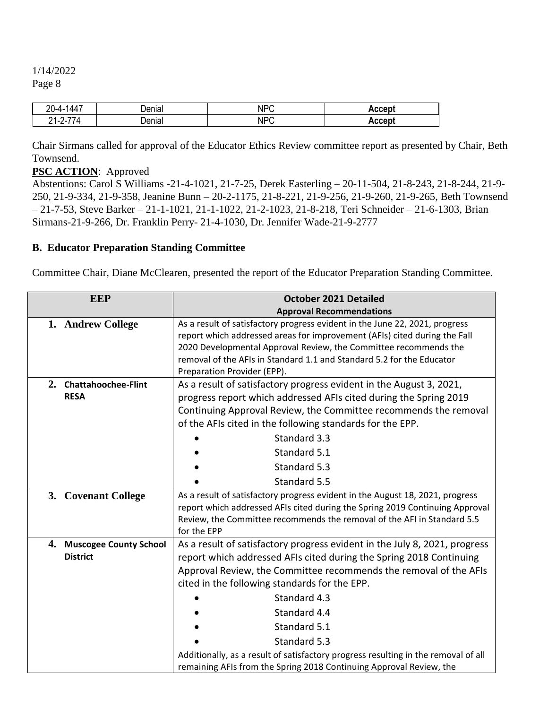| $\overline{\phantom{a}}$<br>$20 - 4 -$<br>. 44 -  | nnn<br>паг        | NP <sup>c</sup> | .ccant |
|---------------------------------------------------|-------------------|-----------------|--------|
| --<br>14<br><u>, д</u><br>$1 - 7 - 7$<br><u>.</u> | <b></b><br>Deniai | NP <sup>c</sup> | ccept  |

Chair Sirmans called for approval of the Educator Ethics Review committee report as presented by Chair, Beth Townsend.

### **PSC ACTION**: Approved

Abstentions: Carol S Williams -21-4-1021, 21-7-25, Derek Easterling – 20-11-504, 21-8-243, 21-8-244, 21-9- 250, 21-9-334, 21-9-358, Jeanine Bunn – 20-2-1175, 21-8-221, 21-9-256, 21-9-260, 21-9-265, Beth Townsend – 21-7-53, Steve Barker – 21-1-1021, 21-1-1022, 21-2-1023, 21-8-218, Teri Schneider – 21-6-1303, Brian Sirmans-21-9-266, Dr. Franklin Perry- 21-4-1030, Dr. Jennifer Wade-21-9-2777

### **B. Educator Preparation Standing Committee**

Committee Chair, Diane McClearen, presented the report of the Educator Preparation Standing Committee.

|    | <b>EEP</b>                 | <b>October 2021 Detailed</b>                                                                                                                                                                                                                                                                                                         |
|----|----------------------------|--------------------------------------------------------------------------------------------------------------------------------------------------------------------------------------------------------------------------------------------------------------------------------------------------------------------------------------|
|    |                            | <b>Approval Recommendations</b>                                                                                                                                                                                                                                                                                                      |
|    | 1. Andrew College          | As a result of satisfactory progress evident in the June 22, 2021, progress<br>report which addressed areas for improvement (AFIs) cited during the Fall<br>2020 Developmental Approval Review, the Committee recommends the<br>removal of the AFIs in Standard 1.1 and Standard 5.2 for the Educator<br>Preparation Provider (EPP). |
| 2. | <b>Chattahoochee-Flint</b> | As a result of satisfactory progress evident in the August 3, 2021,                                                                                                                                                                                                                                                                  |
|    | <b>RESA</b>                | progress report which addressed AFIs cited during the Spring 2019                                                                                                                                                                                                                                                                    |
|    |                            | Continuing Approval Review, the Committee recommends the removal                                                                                                                                                                                                                                                                     |
|    |                            | of the AFIs cited in the following standards for the EPP.                                                                                                                                                                                                                                                                            |
|    |                            | Standard 3.3                                                                                                                                                                                                                                                                                                                         |
|    |                            | Standard 5.1                                                                                                                                                                                                                                                                                                                         |
|    |                            | Standard 5.3                                                                                                                                                                                                                                                                                                                         |
|    |                            | Standard 5.5                                                                                                                                                                                                                                                                                                                         |
|    | 3. Covenant College        | As a result of satisfactory progress evident in the August 18, 2021, progress<br>report which addressed AFIs cited during the Spring 2019 Continuing Approval<br>Review, the Committee recommends the removal of the AFI in Standard 5.5<br>for the EPP                                                                              |
|    | 4. Muscogee County School  | As a result of satisfactory progress evident in the July 8, 2021, progress                                                                                                                                                                                                                                                           |
|    | <b>District</b>            | report which addressed AFIs cited during the Spring 2018 Continuing                                                                                                                                                                                                                                                                  |
|    |                            | Approval Review, the Committee recommends the removal of the AFIs                                                                                                                                                                                                                                                                    |
|    |                            | cited in the following standards for the EPP.                                                                                                                                                                                                                                                                                        |
|    |                            | Standard 4.3                                                                                                                                                                                                                                                                                                                         |
|    |                            | Standard 4.4                                                                                                                                                                                                                                                                                                                         |
|    |                            | Standard 5.1                                                                                                                                                                                                                                                                                                                         |
|    |                            | Standard 5.3                                                                                                                                                                                                                                                                                                                         |
|    |                            | Additionally, as a result of satisfactory progress resulting in the removal of all                                                                                                                                                                                                                                                   |
|    |                            | remaining AFIs from the Spring 2018 Continuing Approval Review, the                                                                                                                                                                                                                                                                  |